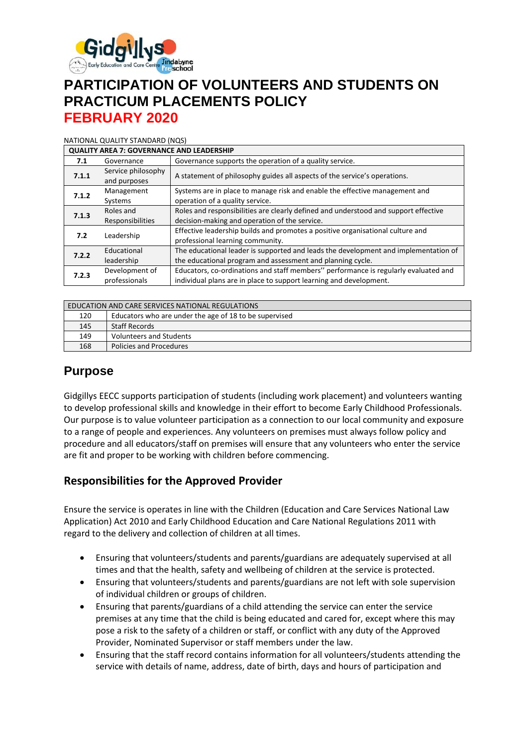

# **PARTICIPATION OF VOLUNTEERS AND STUDENTS ON PRACTICUM PLACEMENTS POLICY FEBRUARY 2020**

#### NATIONAL QUALITY STANDARD (NQS)

| <b>QUALITY AREA 7: GOVERNANCE AND LEADERSHIP</b> |                                    |                                                                                                                                                           |  |  |  |
|--------------------------------------------------|------------------------------------|-----------------------------------------------------------------------------------------------------------------------------------------------------------|--|--|--|
| 7.1                                              | Governance                         | Governance supports the operation of a quality service.                                                                                                   |  |  |  |
| 7.1.1                                            | Service philosophy<br>and purposes | A statement of philosophy guides all aspects of the service's operations.                                                                                 |  |  |  |
| 7.1.2                                            | Management<br>Systems              | Systems are in place to manage risk and enable the effective management and<br>operation of a quality service.                                            |  |  |  |
| 7.1.3                                            | Roles and<br>Responsibilities      | Roles and responsibilities are clearly defined and understood and support effective<br>decision-making and operation of the service.                      |  |  |  |
| 7.2                                              | Leadership                         | Effective leadership builds and promotes a positive organisational culture and<br>professional learning community.                                        |  |  |  |
| 7.2.2                                            | Educational<br>leadership          | The educational leader is supported and leads the development and implementation of<br>the educational program and assessment and planning cycle.         |  |  |  |
| 7.2.3                                            | Development of<br>professionals    | Educators, co-ordinations and staff members" performance is regularly evaluated and<br>individual plans are in place to support learning and development. |  |  |  |

| EDUCATION AND CARE SERVICES NATIONAL REGULATIONS |                                                        |  |  |
|--------------------------------------------------|--------------------------------------------------------|--|--|
| 120                                              | Educators who are under the age of 18 to be supervised |  |  |
| 145                                              | <b>Staff Records</b>                                   |  |  |
| 149                                              | <b>Volunteers and Students</b>                         |  |  |
| 168                                              | <b>Policies and Procedures</b>                         |  |  |

### **Purpose**

Gidgillys EECC supports participation of students (including work placement) and volunteers wanting to develop professional skills and knowledge in their effort to become Early Childhood Professionals. Our purpose is to value volunteer participation as a connection to our local community and exposure to a range of people and experiences. Any volunteers on premises must always follow policy and procedure and all educators/staff on premises will ensure that any volunteers who enter the service are fit and proper to be working with children before commencing.

### **Responsibilities for the Approved Provider**

Ensure the service is operates in line with the Children (Education and Care Services National Law Application) Act 2010 and Early Childhood Education and Care National Regulations 2011 with regard to the delivery and collection of children at all times.

- Ensuring that volunteers/students and parents/guardians are adequately supervised at all times and that the health, safety and wellbeing of children at the service is protected.
- Ensuring that volunteers/students and parents/guardians are not left with sole supervision of individual children or groups of children.
- Ensuring that parents/guardians of a child attending the service can enter the service premises at any time that the child is being educated and cared for, except where this may pose a risk to the safety of a children or staff, or conflict with any duty of the Approved Provider, Nominated Supervisor or staff members under the law.
- Ensuring that the staff record contains information for all volunteers/students attending the service with details of name, address, date of birth, days and hours of participation and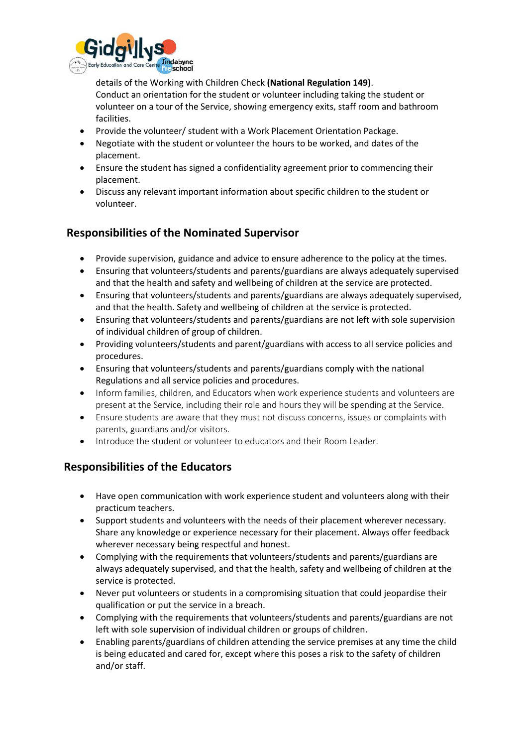

details of the Working with Children Check **(National Regulation 149)**. Conduct an orientation for the student or volunteer including taking the student or volunteer on a tour of the Service, showing emergency exits, staff room and bathroom facilities.

- Provide the volunteer/ student with a Work Placement Orientation Package.
- Negotiate with the student or volunteer the hours to be worked, and dates of the placement.
- Ensure the student has signed a confidentiality agreement prior to commencing their placement.
- Discuss any relevant important information about specific children to the student or volunteer.

## **Responsibilities of the Nominated Supervisor**

- Provide supervision, guidance and advice to ensure adherence to the policy at the times.
- Ensuring that volunteers/students and parents/guardians are always adequately supervised and that the health and safety and wellbeing of children at the service are protected.
- Ensuring that volunteers/students and parents/guardians are always adequately supervised, and that the health. Safety and wellbeing of children at the service is protected.
- Ensuring that volunteers/students and parents/guardians are not left with sole supervision of individual children of group of children.
- Providing volunteers/students and parent/guardians with access to all service policies and procedures.
- Ensuring that volunteers/students and parents/guardians comply with the national Regulations and all service policies and procedures.
- Inform families, children, and Educators when work experience students and volunteers are present at the Service, including their role and hours they will be spending at the Service.
- Ensure students are aware that they must not discuss concerns, issues or complaints with parents, guardians and/or visitors.
- Introduce the student or volunteer to educators and their Room Leader.

## **Responsibilities of the Educators**

- Have open communication with work experience student and volunteers along with their practicum teachers.
- Support students and volunteers with the needs of their placement wherever necessary. Share any knowledge or experience necessary for their placement. Always offer feedback wherever necessary being respectful and honest.
- Complying with the requirements that volunteers/students and parents/guardians are always adequately supervised, and that the health, safety and wellbeing of children at the service is protected.
- Never put volunteers or students in a compromising situation that could jeopardise their qualification or put the service in a breach.
- Complying with the requirements that volunteers/students and parents/guardians are not left with sole supervision of individual children or groups of children.
- Enabling parents/guardians of children attending the service premises at any time the child is being educated and cared for, except where this poses a risk to the safety of children and/or staff.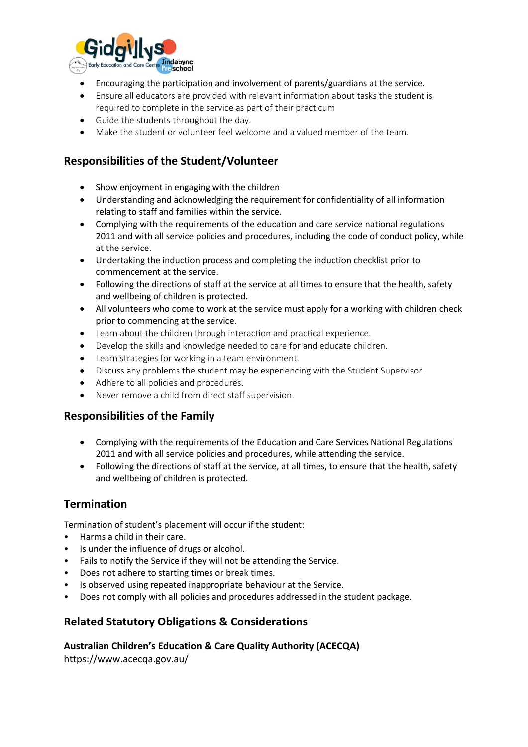

- Encouraging the participation and involvement of parents/guardians at the service.
- Ensure all educators are provided with relevant information about tasks the student is required to complete in the service as part of their practicum
- Guide the students throughout the day.
- Make the student or volunteer feel welcome and a valued member of the team.

### **Responsibilities of the Student/Volunteer**

- Show enjoyment in engaging with the children
- Understanding and acknowledging the requirement for confidentiality of all information relating to staff and families within the service.
- Complying with the requirements of the education and care service national regulations 2011 and with all service policies and procedures, including the code of conduct policy, while at the service.
- Undertaking the induction process and completing the induction checklist prior to commencement at the service.
- Following the directions of staff at the service at all times to ensure that the health, safety and wellbeing of children is protected.
- All volunteers who come to work at the service must apply for a working with children check prior to commencing at the service.
- Learn about the children through interaction and practical experience.
- Develop the skills and knowledge needed to care for and educate children.
- Learn strategies for working in a team environment.
- Discuss any problems the student may be experiencing with the Student Supervisor.
- Adhere to all policies and procedures.
- Never remove a child from direct staff supervision.

#### **Responsibilities of the Family**

- Complying with the requirements of the Education and Care Services National Regulations 2011 and with all service policies and procedures, while attending the service.
- Following the directions of staff at the service, at all times, to ensure that the health, safety and wellbeing of children is protected.

### **Termination**

Termination of student's placement will occur if the student:

- Harms a child in their care.
- Is under the influence of drugs or alcohol.
- Fails to notify the Service if they will not be attending the Service.
- Does not adhere to starting times or break times.
- Is observed using repeated inappropriate behaviour at the Service.
- Does not comply with all policies and procedures addressed in the student package.

### **Related Statutory Obligations & Considerations**

**Australian Children's Education & Care Quality Authority (ACECQA)**

https://www.acecqa.gov.au/